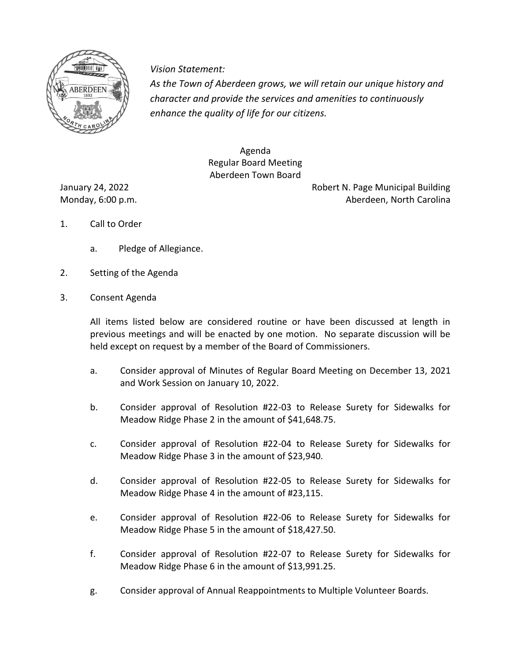

*Vision Statement Vision Statement:*

*As the Town of Aberdeen grows, we will retain our unique history and character and provide the services and amenities to continuously enhance the quality of life for our citizens.* 

> Agenda Regular Board Meeting Aberdeen Town Board

January 24, 2022 **Australia Building** Robert N. Page Municipal Building Monday, 6:00 p.m. Aberdeen, North Carolina

- 1. Call to Order
	- a. Pledge of Allegiance.
- 2. Setting of the Agenda
- 3. Consent Agenda

All items listed below are considered routine or have been discussed at length in previous meetings and will be enacted by one motion. No separate discussion will be held except on request by a member of the Board of Commissioners.

- a. Consider approval of Minutes of Regular Board Meeting on December 13, 2021 and Work Session on January 10, 2022.
- b. Consider approval of Resolution #22-03 to Release Surety for Sidewalks for Meadow Ridge Phase 2 in the amount of \$41,648.75.
- c. Consider approval of Resolution #22-04 to Release Surety for Sidewalks for Meadow Ridge Phase 3 in the amount of \$23,940.
- d. Consider approval of Resolution #22-05 to Release Surety for Sidewalks for Meadow Ridge Phase 4 in the amount of #23,115.
- e. Consider approval of Resolution #22-06 to Release Surety for Sidewalks for Meadow Ridge Phase 5 in the amount of \$18,427.50.
- f. Consider approval of Resolution #22-07 to Release Surety for Sidewalks for Meadow Ridge Phase 6 in the amount of \$13,991.25.
- g. Consider approval of Annual Reappointments to Multiple Volunteer Boards.